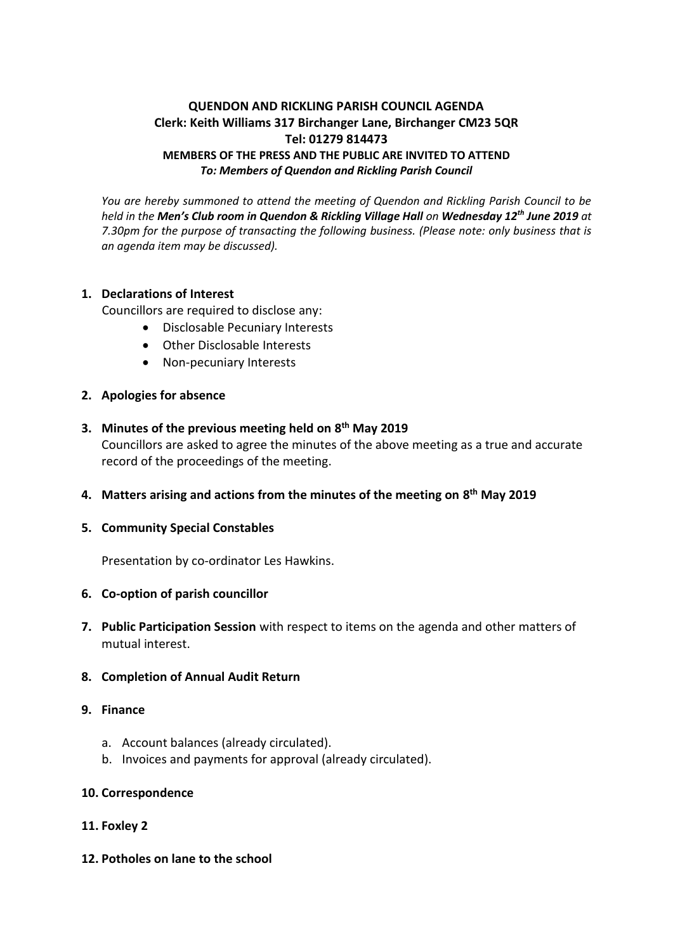# **QUENDON AND RICKLING PARISH COUNCIL AGENDA Clerk: Keith Williams 317 Birchanger Lane, Birchanger CM23 5QR Tel: 01279 814473 MEMBERS OF THE PRESS AND THE PUBLIC ARE INVITED TO ATTEND** *To: Members of Quendon and Rickling Parish Council*

*You are hereby summoned to attend the meeting of Quendon and Rickling Parish Council to be held in the Men's Club room in Quendon & Rickling Village Hall on Wednesday 12th June 2019 at 7.30pm for the purpose of transacting the following business. (Please note: only business that is an agenda item may be discussed).*

## **1. Declarations of Interest**

Councillors are required to disclose any:

- Disclosable Pecuniary Interests
- Other Disclosable Interests
- Non-pecuniary Interests

### **2. Apologies for absence**

- **3. Minutes of the previous meeting held on 8 th May 2019** Councillors are asked to agree the minutes of the above meeting as a true and accurate record of the proceedings of the meeting.
- **4. Matters arising and actions from the minutes of the meeting on 8 th May 2019**

### **5. Community Special Constables**

Presentation by co-ordinator Les Hawkins.

#### **6. Co-option of parish councillor**

**7. Public Participation Session** with respect to items on the agenda and other matters of mutual interest.

#### **8. Completion of Annual Audit Return**

- **9. Finance**
	- a. Account balances (already circulated).
	- b. Invoices and payments for approval (already circulated).

#### **10. Correspondence**

### **11. Foxley 2**

**12. Potholes on lane to the school**